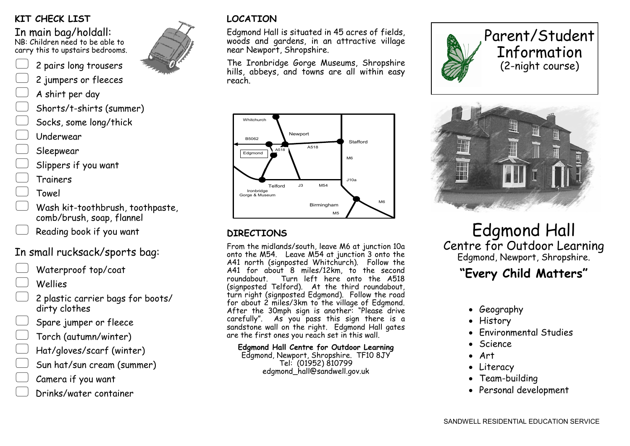## **KIT CHECK LIST**

In main bag/holdall:

NB: Children need to be able to carry this to upstairs bedrooms.



- 2 jumpers or fleeces
- A shirt per day
- Shorts/t-shirts (summer)
- Socks, some long/thick
- Underwear

Sleepwear

Slippers if you want

Trainers

- Towel
- Wash kit-toothbrush, toothpaste, comb/brush, soap, flannel
- Reading book if you want

# In small rucksack/sports bag:

Waterproof top/coat

Wellies

- 2 plastic carrier bags for boots/ dirty clothes
- Spare jumper or fleece
- Torch (autumn/winter)
- Hat/gloves/scarf (winter)
- Sun hat/sun cream (summer)
- Camera if you want
- Drinks/water container

# **LOCATION**

Edgmond Hall is situated in 45 acres of fields, woods and gardens, in an attractive village near Newport, Shropshire.

The Ironbridge Gorge Museums, Shropshire hills, abbeys, and towns are all within easy reach.



## **DIRECTIONS**

From the midlands/south, leave M6 at junction 10a onto the M54. Leave M54 at junction 3 onto the A41 north (signposted Whitchurch). Follow the A41 for about 8 miles/12km, to the second roundabout. Turn left here onto the A518 (signposted Telford). At the third roundabout, turn right (signposted Edgmond). Follow the road for about 2 miles/3km to the village of Edgmond. After the 30mph sign is another: "Please drive carefully". As you pass this sign there is a sandstone wall on the right. Edgmond Hall gates are the first ones you reach set in this wall.

**Edgmond Hall Centre for Outdoor Learning** Edgmond, Newport, Shropshire. TF10 8JY Tel: (01952) 810799 edgmond\_hall@sandwell.gov.uk





# Edgmond Hall Centre for Outdoor Learning Edgmond, Newport, Shropshire.

# **"Every Child Matters"**

- Geography
- History
- Environmental Studies
- Science
- Art
- Literacy
- Team-building
- Personal development